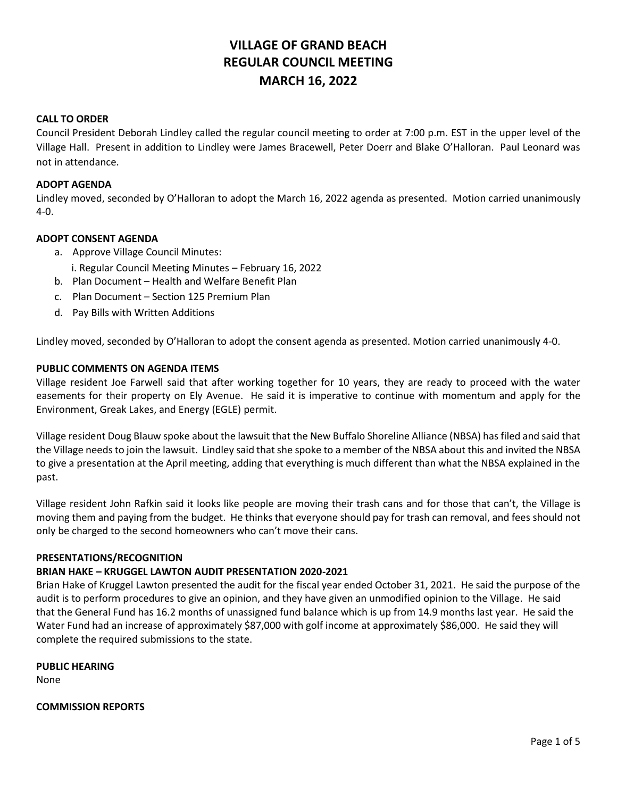# **VILLAGE OF GRAND BEACH REGULAR COUNCIL MEETING MARCH 16, 2022**

# **CALL TO ORDER**

Council President Deborah Lindley called the regular council meeting to order at 7:00 p.m. EST in the upper level of the Village Hall. Present in addition to Lindley were James Bracewell, Peter Doerr and Blake O'Halloran. Paul Leonard was not in attendance.

#### **ADOPT AGENDA**

Lindley moved, seconded by O'Halloran to adopt the March 16, 2022 agenda as presented. Motion carried unanimously 4-0.

#### **ADOPT CONSENT AGENDA**

- a. Approve Village Council Minutes:
	- i. Regular Council Meeting Minutes February 16, 2022
- b. Plan Document Health and Welfare Benefit Plan
- c. Plan Document Section 125 Premium Plan
- d. Pay Bills with Written Additions

Lindley moved, seconded by O'Halloran to adopt the consent agenda as presented. Motion carried unanimously 4-0.

#### **PUBLIC COMMENTS ON AGENDA ITEMS**

Village resident Joe Farwell said that after working together for 10 years, they are ready to proceed with the water easements for their property on Ely Avenue. He said it is imperative to continue with momentum and apply for the Environment, Greak Lakes, and Energy (EGLE) permit.

Village resident Doug Blauw spoke about the lawsuit that the New Buffalo Shoreline Alliance (NBSA) has filed and said that the Village needs to join the lawsuit. Lindley said that she spoke to a member of the NBSA about this and invited the NBSA to give a presentation at the April meeting, adding that everything is much different than what the NBSA explained in the past.

Village resident John Rafkin said it looks like people are moving their trash cans and for those that can't, the Village is moving them and paying from the budget. He thinks that everyone should pay for trash can removal, and fees should not only be charged to the second homeowners who can't move their cans.

#### **PRESENTATIONS/RECOGNITION**

# **BRIAN HAKE – KRUGGEL LAWTON AUDIT PRESENTATION 2020-2021**

Brian Hake of Kruggel Lawton presented the audit for the fiscal year ended October 31, 2021. He said the purpose of the audit is to perform procedures to give an opinion, and they have given an unmodified opinion to the Village. He said that the General Fund has 16.2 months of unassigned fund balance which is up from 14.9 months last year. He said the Water Fund had an increase of approximately \$87,000 with golf income at approximately \$86,000. He said they will complete the required submissions to the state.

#### **PUBLIC HEARING**

None

**COMMISSION REPORTS**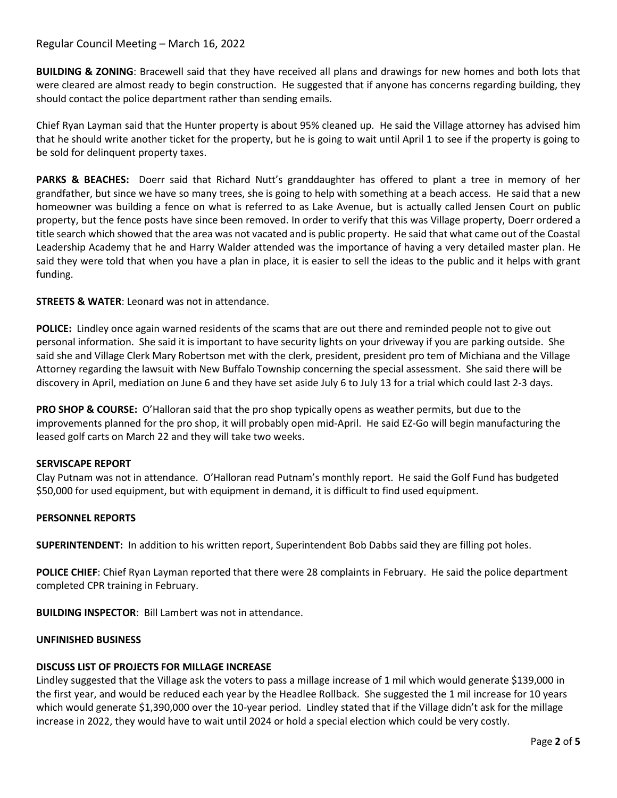# Regular Council Meeting – March 16, 2022

**BUILDING & ZONING**: Bracewell said that they have received all plans and drawings for new homes and both lots that were cleared are almost ready to begin construction. He suggested that if anyone has concerns regarding building, they should contact the police department rather than sending emails.

Chief Ryan Layman said that the Hunter property is about 95% cleaned up. He said the Village attorney has advised him that he should write another ticket for the property, but he is going to wait until April 1 to see if the property is going to be sold for delinquent property taxes.

**PARKS & BEACHES:** Doerr said that Richard Nutt's granddaughter has offered to plant a tree in memory of her grandfather, but since we have so many trees, she is going to help with something at a beach access. He said that a new homeowner was building a fence on what is referred to as Lake Avenue, but is actually called Jensen Court on public property, but the fence posts have since been removed. In order to verify that this was Village property, Doerr ordered a title search which showed that the area was not vacated and is public property. He said that what came out of the Coastal Leadership Academy that he and Harry Walder attended was the importance of having a very detailed master plan. He said they were told that when you have a plan in place, it is easier to sell the ideas to the public and it helps with grant funding.

# **STREETS & WATER**: Leonard was not in attendance.

**POLICE:** Lindley once again warned residents of the scams that are out there and reminded people not to give out personal information. She said it is important to have security lights on your driveway if you are parking outside. She said she and Village Clerk Mary Robertson met with the clerk, president, president pro tem of Michiana and the Village Attorney regarding the lawsuit with New Buffalo Township concerning the special assessment. She said there will be discovery in April, mediation on June 6 and they have set aside July 6 to July 13 for a trial which could last 2-3 days.

**PRO SHOP & COURSE:** O'Halloran said that the pro shop typically opens as weather permits, but due to the improvements planned for the pro shop, it will probably open mid-April. He said EZ-Go will begin manufacturing the leased golf carts on March 22 and they will take two weeks.

# **SERVISCAPE REPORT**

Clay Putnam was not in attendance. O'Halloran read Putnam's monthly report. He said the Golf Fund has budgeted \$50,000 for used equipment, but with equipment in demand, it is difficult to find used equipment.

# **PERSONNEL REPORTS**

**SUPERINTENDENT:** In addition to his written report, Superintendent Bob Dabbs said they are filling pot holes.

**POLICE CHIEF**: Chief Ryan Layman reported that there were 28 complaints in February. He said the police department completed CPR training in February.

**BUILDING INSPECTOR**: Bill Lambert was not in attendance.

#### **UNFINISHED BUSINESS**

#### **DISCUSS LIST OF PROJECTS FOR MILLAGE INCREASE**

Lindley suggested that the Village ask the voters to pass a millage increase of 1 mil which would generate \$139,000 in the first year, and would be reduced each year by the Headlee Rollback. She suggested the 1 mil increase for 10 years which would generate \$1,390,000 over the 10-year period. Lindley stated that if the Village didn't ask for the millage increase in 2022, they would have to wait until 2024 or hold a special election which could be very costly.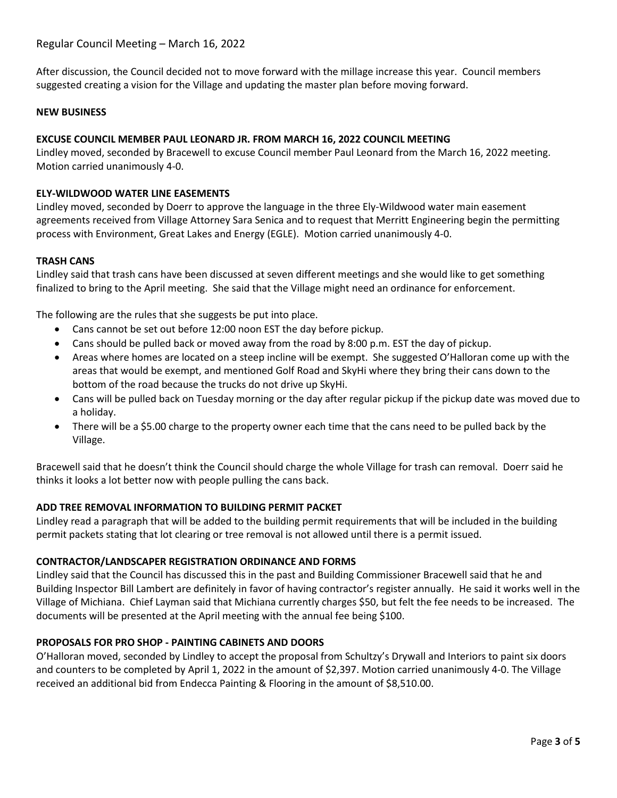After discussion, the Council decided not to move forward with the millage increase this year. Council members suggested creating a vision for the Village and updating the master plan before moving forward.

# **NEW BUSINESS**

# **EXCUSE COUNCIL MEMBER PAUL LEONARD JR. FROM MARCH 16, 2022 COUNCIL MEETING**

Lindley moved, seconded by Bracewell to excuse Council member Paul Leonard from the March 16, 2022 meeting. Motion carried unanimously 4-0.

# **ELY-WILDWOOD WATER LINE EASEMENTS**

Lindley moved, seconded by Doerr to approve the language in the three Ely-Wildwood water main easement agreements received from Village Attorney Sara Senica and to request that Merritt Engineering begin the permitting process with Environment, Great Lakes and Energy (EGLE). Motion carried unanimously 4-0.

# **TRASH CANS**

Lindley said that trash cans have been discussed at seven different meetings and she would like to get something finalized to bring to the April meeting. She said that the Village might need an ordinance for enforcement.

The following are the rules that she suggests be put into place.

- Cans cannot be set out before 12:00 noon EST the day before pickup.
- Cans should be pulled back or moved away from the road by 8:00 p.m. EST the day of pickup.
- Areas where homes are located on a steep incline will be exempt. She suggested O'Halloran come up with the areas that would be exempt, and mentioned Golf Road and SkyHi where they bring their cans down to the bottom of the road because the trucks do not drive up SkyHi.
- Cans will be pulled back on Tuesday morning or the day after regular pickup if the pickup date was moved due to a holiday.
- There will be a \$5.00 charge to the property owner each time that the cans need to be pulled back by the Village.

Bracewell said that he doesn't think the Council should charge the whole Village for trash can removal. Doerr said he thinks it looks a lot better now with people pulling the cans back.

# **ADD TREE REMOVAL INFORMATION TO BUILDING PERMIT PACKET**

Lindley read a paragraph that will be added to the building permit requirements that will be included in the building permit packets stating that lot clearing or tree removal is not allowed until there is a permit issued.

# **CONTRACTOR/LANDSCAPER REGISTRATION ORDINANCE AND FORMS**

Lindley said that the Council has discussed this in the past and Building Commissioner Bracewell said that he and Building Inspector Bill Lambert are definitely in favor of having contractor's register annually. He said it works well in the Village of Michiana. Chief Layman said that Michiana currently charges \$50, but felt the fee needs to be increased. The documents will be presented at the April meeting with the annual fee being \$100.

# **PROPOSALS FOR PRO SHOP - PAINTING CABINETS AND DOORS**

O'Halloran moved, seconded by Lindley to accept the proposal from Schultzy's Drywall and Interiors to paint six doors and counters to be completed by April 1, 2022 in the amount of \$2,397. Motion carried unanimously 4-0. The Village received an additional bid from Endecca Painting & Flooring in the amount of \$8,510.00.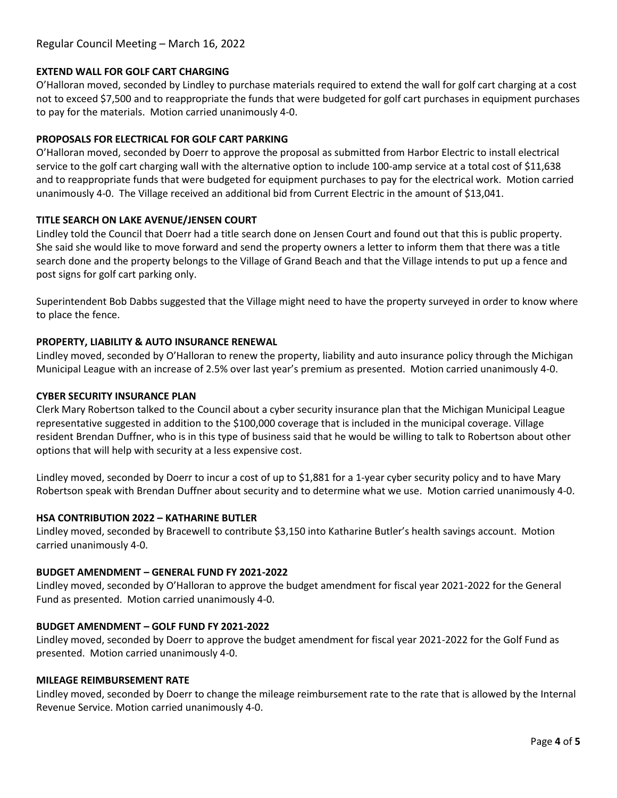# Regular Council Meeting – March 16, 2022

## **EXTEND WALL FOR GOLF CART CHARGING**

O'Halloran moved, seconded by Lindley to purchase materials required to extend the wall for golf cart charging at a cost not to exceed \$7,500 and to reappropriate the funds that were budgeted for golf cart purchases in equipment purchases to pay for the materials. Motion carried unanimously 4-0.

#### **PROPOSALS FOR ELECTRICAL FOR GOLF CART PARKING**

O'Halloran moved, seconded by Doerr to approve the proposal as submitted from Harbor Electric to install electrical service to the golf cart charging wall with the alternative option to include 100-amp service at a total cost of \$11,638 and to reappropriate funds that were budgeted for equipment purchases to pay for the electrical work. Motion carried unanimously 4-0. The Village received an additional bid from Current Electric in the amount of \$13,041.

#### **TITLE SEARCH ON LAKE AVENUE/JENSEN COURT**

Lindley told the Council that Doerr had a title search done on Jensen Court and found out that this is public property. She said she would like to move forward and send the property owners a letter to inform them that there was a title search done and the property belongs to the Village of Grand Beach and that the Village intends to put up a fence and post signs for golf cart parking only.

Superintendent Bob Dabbs suggested that the Village might need to have the property surveyed in order to know where to place the fence.

#### **PROPERTY, LIABILITY & AUTO INSURANCE RENEWAL**

Lindley moved, seconded by O'Halloran to renew the property, liability and auto insurance policy through the Michigan Municipal League with an increase of 2.5% over last year's premium as presented. Motion carried unanimously 4-0.

#### **CYBER SECURITY INSURANCE PLAN**

Clerk Mary Robertson talked to the Council about a cyber security insurance plan that the Michigan Municipal League representative suggested in addition to the \$100,000 coverage that is included in the municipal coverage. Village resident Brendan Duffner, who is in this type of business said that he would be willing to talk to Robertson about other options that will help with security at a less expensive cost.

Lindley moved, seconded by Doerr to incur a cost of up to \$1,881 for a 1-year cyber security policy and to have Mary Robertson speak with Brendan Duffner about security and to determine what we use. Motion carried unanimously 4-0.

#### **HSA CONTRIBUTION 2022 – KATHARINE BUTLER**

Lindley moved, seconded by Bracewell to contribute \$3,150 into Katharine Butler's health savings account. Motion carried unanimously 4-0.

#### **BUDGET AMENDMENT – GENERAL FUND FY 2021-2022**

Lindley moved, seconded by O'Halloran to approve the budget amendment for fiscal year 2021-2022 for the General Fund as presented. Motion carried unanimously 4-0.

#### **BUDGET AMENDMENT – GOLF FUND FY 2021-2022**

Lindley moved, seconded by Doerr to approve the budget amendment for fiscal year 2021-2022 for the Golf Fund as presented. Motion carried unanimously 4-0.

#### **MILEAGE REIMBURSEMENT RATE**

Lindley moved, seconded by Doerr to change the mileage reimbursement rate to the rate that is allowed by the Internal Revenue Service. Motion carried unanimously 4-0.